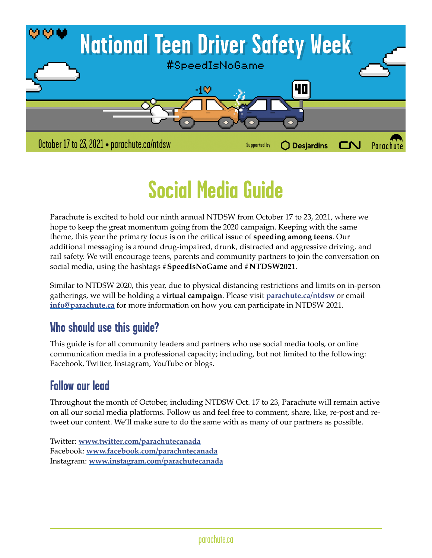

# **Social Media Guide**

Parachute is excited to hold our ninth annual NTDSW from October 17 to 23, 2021, where we hope to keep the great momentum going from the 2020 campaign. Keeping with the same theme, this year the primary focus is on the critical issue of **speeding among teens**. Our additional messaging is around drug-impaired, drunk, distracted and aggressive driving, and rail safety. We will encourage teens, parents and community partners to join the conversation on social media, using the hashtags **#SpeedIsNoGame** and **#NTDSW2021**.

Similar to NTDSW 2020, this year, due to physical distancing restrictions and limits on in-person gatherings, we will be holding a **virtual campaign**. Please visit **[parachute.ca/ntdsw](http://parachute.ca/ntdsw)** or email **[info@parachute.ca](mailto:info@parachute.ca)** for more information on how you can participate in NTDSW 2021.

# **Who should use this guide?**

This guide is for all community leaders and partners who use social media tools, or online communication media in a professional capacity; including, but not limited to the following: Facebook, Twitter, Instagram, YouTube or blogs.

# **Follow our lead**

Throughout the month of October, including NTDSW Oct. 17 to 23, Parachute will remain active on all our social media platforms. Follow us and feel free to comment, share, like, re-post and retweet our content. We'll make sure to do the same with as many of our partners as possible.

Twitter: **[www.twitter.com/parachutecanada](http://www.twitter.com/parachutecanada)** Facebook: **[www.facebook.com/parachutecanada](http://www.facebook.com/parachutecanada)** Instagram: **[www.instagram.com/parachutecanada](http://www.instagram.com/parachutecanada)**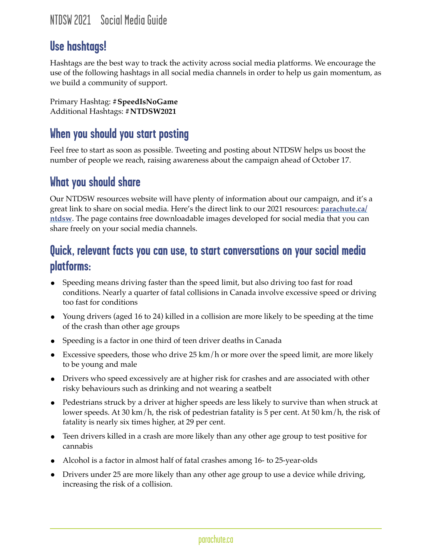# **Use hashtags!**

Hashtags are the best way to track the activity across social media platforms. We encourage the use of the following hashtags in all social media channels in order to help us gain momentum, as we build a community of support.

Primary Hashtag: **#SpeedIsNoGame** Additional Hashtags: **#NTDSW2021**

## **When you should you start posting**

Feel free to start as soon as possible. Tweeting and posting about NTDSW helps us boost the number of people we reach, raising awareness about the campaign ahead of October 17.

#### **What you should share**

Our NTDSW resources website will have plenty of information about our campaign, and it's a great link to share on social media. Here's the direct link to our 2021 resources: **[parachute.ca/](http://parachute.ca/ntdsw) [ntdsw](http://parachute.ca/ntdsw)**. The page contains free downloadable images developed for social media that you can share freely on your social media channels.

## **Quick, relevant facts you can use, to start conversations on your social media platforms:**

- Speeding means driving faster than the speed limit, but also driving too fast for road conditions. Nearly a quarter of fatal collisions in Canada involve excessive speed or driving too fast for conditions
- Young drivers (aged 16 to 24) killed in a collision are more likely to be speeding at the time of the crash than other age groups
- Speeding is a factor in one third of teen driver deaths in Canada
- Excessive speeders, those who drive  $25 \text{ km/h}$  or more over the speed limit, are more likely to be young and male
- Drivers who speed excessively are at higher risk for crashes and are associated with other risky behaviours such as drinking and not wearing a seatbelt
- Pedestrians struck by a driver at higher speeds are less likely to survive than when struck at lower speeds. At 30 km/h, the risk of pedestrian fatality is 5 per cent. At 50 km/h, the risk of fatality is nearly six times higher, at 29 per cent.
- Teen drivers killed in a crash are more likely than any other age group to test positive for cannabis
- Alcohol is a factor in almost half of fatal crashes among 16- to 25-year-olds
- Drivers under 25 are more likely than any other age group to use a device while driving, increasing the risk of a collision.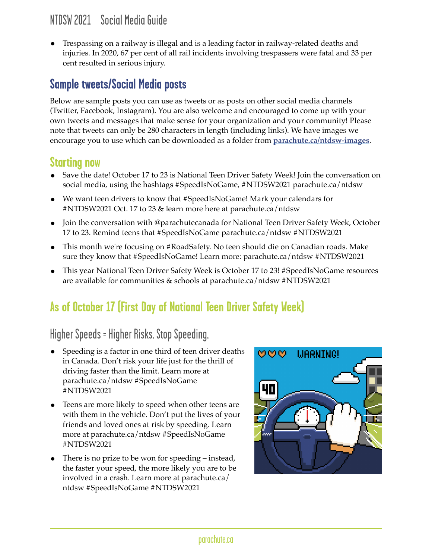• Trespassing on a railway is illegal and is a leading factor in railway-related deaths and injuries. In 2020, 67 per cent of all rail incidents involving trespassers were fatal and 33 per cent resulted in serious injury.

## **Sample tweets/Social Media posts**

Below are sample posts you can use as tweets or as posts on other social media channels (Twitter, Facebook, Instagram). You are also welcome and encouraged to come up with your own tweets and messages that make sense for your organization and your community! Please note that tweets can only be 280 characters in length (including links). We have images we encourage you to use which can be downloaded as a folder from **[parachute.ca/ntdsw-images](http://parachute.ca/ntdsw-images)**.

#### **Starting now**

- Save the date! October 17 to 23 is National Teen Driver Safety Week! Join the conversation on social media, using the hashtags #SpeedIsNoGame, #NTDSW2021 parachute.ca/ntdsw
- We want teen drivers to know that #SpeedIsNoGame! Mark your calendars for #NTDSW2021 Oct. 17 to 23 & learn more here at parachute.ca/ntdsw
- Join the conversation with @parachutecanada for National Teen Driver Safety Week, October 17 to 23. Remind teens that #SpeedIsNoGame parachute.ca/ntdsw #NTDSW2021
- This month we're focusing on #RoadSafety. No teen should die on Canadian roads. Make sure they know that #SpeedIsNoGame! Learn more: parachute.ca/ntdsw #NTDSW2021
- This year National Teen Driver Safety Week is October 17 to 23! #SpeedIsNoGame resources are available for communities & schools at parachute.ca/ntdsw #NTDSW2021

# **As of October 17 (First Day of National Teen Driver Safety Week)**

# Higher Speeds = Higher Risks. Stop Speeding.

- Speeding is a factor in one third of teen driver deaths in Canada. Don't risk your life just for the thrill of driving faster than the limit. Learn more at parachute.ca/ntdsw #SpeedIsNoGame #NTDSW2021
- Teens are more likely to speed when other teens are with them in the vehicle. Don't put the lives of your friends and loved ones at risk by speeding. Learn more at parachute.ca/ntdsw #SpeedIsNoGame #NTDSW2021
- There is no prize to be won for speeding instead, the faster your speed, the more likely you are to be involved in a crash. Learn more at parachute.ca/ ntdsw #SpeedIsNoGame #NTDSW2021

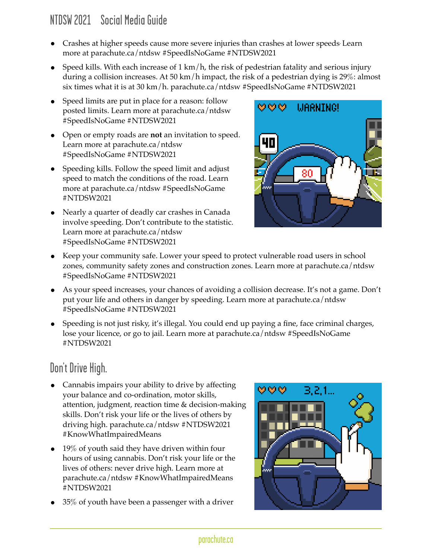- Crashes at higher speeds cause more severe injuries than crashes at lower speeds. Learn more at parachute.ca/ntdsw #SpeedIsNoGame #NTDSW2021
- Speed kills. With each increase of  $1 \text{ km/h}$ , the risk of pedestrian fatality and serious injury during a collision increases. At 50 km/h impact, the risk of a pedestrian dying is 29%: almost six times what it is at 30 km/h. parachute.ca/ntdsw #SpeedIsNoGame #NTDSW2021
- Speed limits are put in place for a reason: follow posted limits. Learn more at parachute.ca/ntdsw #SpeedIsNoGame #NTDSW2021
- Open or empty roads are **not** an invitation to speed. Learn more at parachute.ca/ntdsw #SpeedIsNoGame #NTDSW2021
- Speeding kills. Follow the speed limit and adjust speed to match the conditions of the road. Learn more at parachute.ca/ntdsw #SpeedIsNoGame #NTDSW2021
- Nearly a quarter of deadly car crashes in Canada involve speeding. Don't contribute to the statistic. Learn more at parachute.ca/ntdsw #SpeedIsNoGame #NTDSW2021



- Keep your community safe. Lower your speed to protect vulnerable road users in school zones, community safety zones and construction zones. Learn more at parachute.ca/ntdsw #SpeedIsNoGame #NTDSW2021
- As your speed increases, your chances of avoiding a collision decrease. It's not a game. Don't put your life and others in danger by speeding. Learn more at parachute.ca/ntdsw #SpeedIsNoGame #NTDSW2021
- Speeding is not just risky, it's illegal. You could end up paying a fine, face criminal charges, lose your licence, or go to jail. Learn more at parachute.ca/ntdsw #SpeedIsNoGame #NTDSW2021

# Don't Drive High.

- Cannabis impairs your ability to drive by affecting your balance and co-ordination, motor skills, attention, judgment, reaction time & decision-making skills. Don't risk your life or the lives of others by driving high. parachute.ca/ntdsw #NTDSW2021 #KnowWhatImpairedMeans
- 19% of youth said they have driven within four hours of using cannabis. Don't risk your life or the lives of others: never drive high. Learn more at parachute.ca/ntdsw #KnowWhatImpairedMeans #NTDSW2021
- 35% of youth have been a passenger with a driver

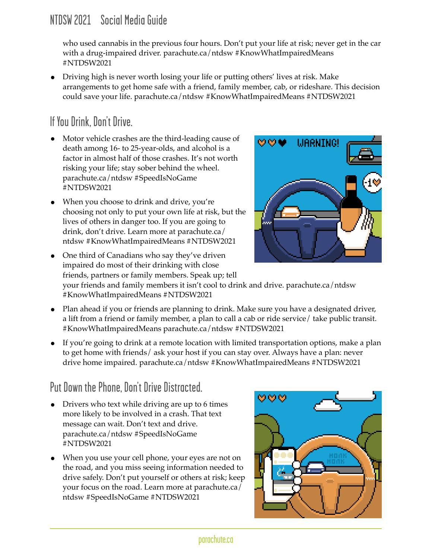who used cannabis in the previous four hours. Don't put your life at risk; never get in the car with a drug-impaired driver. parachute.ca/ntdsw #KnowWhatImpairedMeans #NTDSW2021

• Driving high is never worth losing your life or putting others' lives at risk. Make arrangements to get home safe with a friend, family member, cab, or rideshare. This decision could save your life. parachute.ca/ntdsw #KnowWhatImpairedMeans #NTDSW2021

# If You Drink, Don't Drive.

- Motor vehicle crashes are the third-leading cause of death among 16- to 25-year-olds, and alcohol is a factor in almost half of those crashes. It's not worth risking your life; stay sober behind the wheel. parachute.ca/ntdsw #SpeedIsNoGame #NTDSW2021
- When you choose to drink and drive, you're choosing not only to put your own life at risk, but the lives of others in danger too. If you are going to drink, don't drive. Learn more at parachute.ca/ ntdsw #KnowWhatImpairedMeans #NTDSW2021



• One third of Canadians who say they've driven impaired do most of their drinking with close friends, partners or family members. Speak up; tell your friends and family members it isn't cool to drink and drive. parachute.ca/ntdsw #KnowWhatImpairedMeans #NTDSW2021

- Plan ahead if you or friends are planning to drink. Make sure you have a designated driver, a lift from a friend or family member, a plan to call a cab or ride service/ take public transit. #KnowWhatImpairedMeans parachute.ca/ntdsw #NTDSW2021
- If you're going to drink at a remote location with limited transportation options, make a plan to get home with friends/ ask your host if you can stay over. Always have a plan: never drive home impaired. parachute.ca/ntdsw #KnowWhatImpairedMeans #NTDSW2021

# Put Down the Phone, Don't Drive Distracted.

- Drivers who text while driving are up to 6 times more likely to be involved in a crash. That text message can wait. Don't text and drive. parachute.ca/ntdsw #SpeedIsNoGame #NTDSW2021
- When you use your cell phone, your eyes are not on the road, and you miss seeing information needed to drive safely. Don't put yourself or others at risk; keep your focus on the road. Learn more at parachute.ca/ ntdsw #SpeedIsNoGame #NTDSW2021